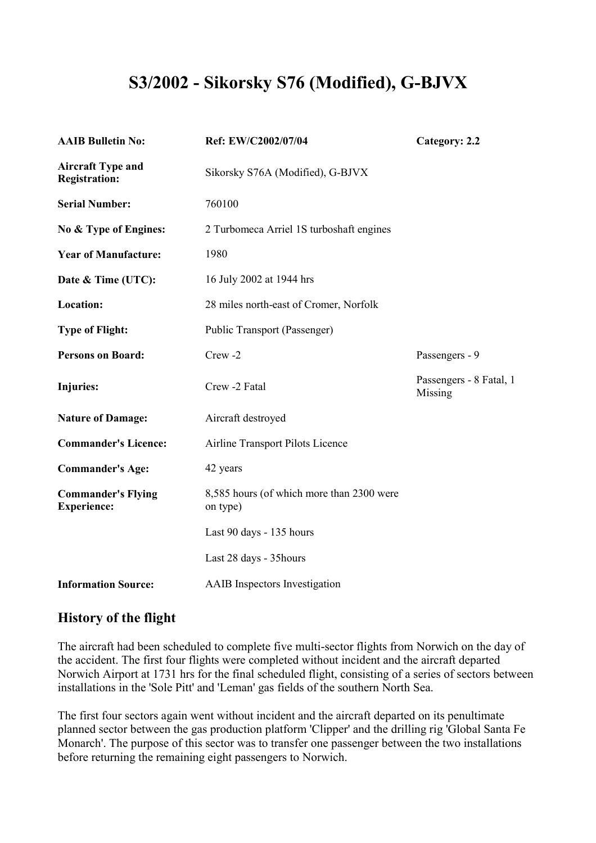# **S3/2002 - Sikorsky S76 (Modified), G-BJVX**

| <b>AAIB Bulletin No:</b>                         | Ref: EW/C2002/07/04                                   | Category: 2.2                      |
|--------------------------------------------------|-------------------------------------------------------|------------------------------------|
| <b>Aircraft Type and</b><br><b>Registration:</b> | Sikorsky S76A (Modified), G-BJVX                      |                                    |
| <b>Serial Number:</b>                            | 760100                                                |                                    |
| No & Type of Engines:                            | 2 Turbomeca Arriel 1S turboshaft engines              |                                    |
| <b>Year of Manufacture:</b>                      | 1980                                                  |                                    |
| Date & Time (UTC):                               | 16 July 2002 at 1944 hrs                              |                                    |
| <b>Location:</b>                                 | 28 miles north-east of Cromer, Norfolk                |                                    |
| <b>Type of Flight:</b>                           | Public Transport (Passenger)                          |                                    |
| <b>Persons on Board:</b>                         | Crew <sub>-2</sub>                                    | Passengers - 9                     |
| <b>Injuries:</b>                                 | Crew -2 Fatal                                         | Passengers - 8 Fatal, 1<br>Missing |
| <b>Nature of Damage:</b>                         | Aircraft destroyed                                    |                                    |
| <b>Commander's Licence:</b>                      | Airline Transport Pilots Licence                      |                                    |
| <b>Commander's Age:</b>                          | 42 years                                              |                                    |
| <b>Commander's Flying</b><br><b>Experience:</b>  | 8,585 hours (of which more than 2300 were<br>on type) |                                    |
|                                                  | Last 90 days - 135 hours                              |                                    |
|                                                  | Last 28 days - 35 hours                               |                                    |
| <b>Information Source:</b>                       | AAIB Inspectors Investigation                         |                                    |

## **History of the flight**

The aircraft had been scheduled to complete five multi-sector flights from Norwich on the day of the accident. The first four flights were completed without incident and the aircraft departed Norwich Airport at 1731 hrs for the final scheduled flight, consisting of a series of sectors between installations in the 'Sole Pitt' and 'Leman' gas fields of the southern North Sea.

The first four sectors again went without incident and the aircraft departed on its penultimate planned sector between the gas production platform 'Clipper' and the drilling rig 'Global Santa Fe Monarch'. The purpose of this sector was to transfer one passenger between the two installations before returning the remaining eight passengers to Norwich.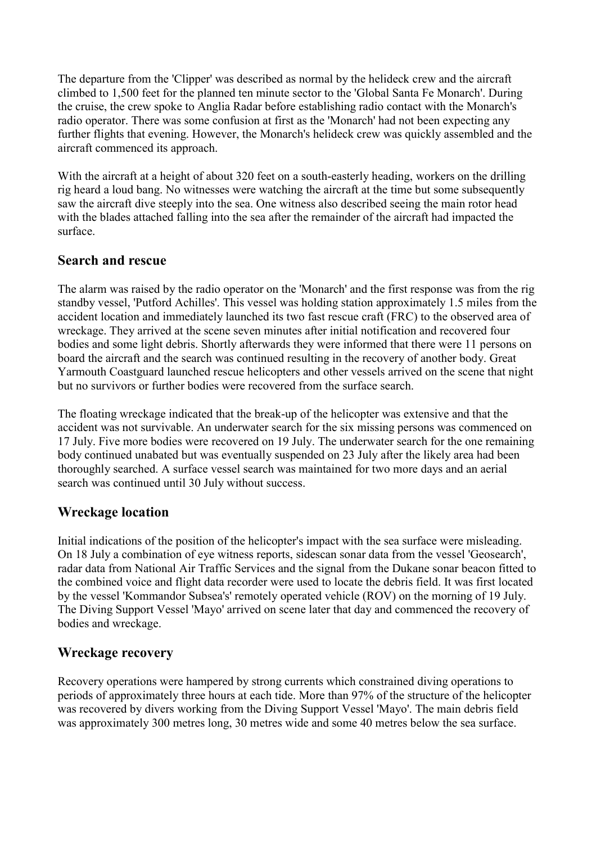The departure from the 'Clipper' was described as normal by the helideck crew and the aircraft climbed to 1,500 feet for the planned ten minute sector to the 'Global Santa Fe Monarch'. During the cruise, the crew spoke to Anglia Radar before establishing radio contact with the Monarch's radio operator. There was some confusion at first as the 'Monarch' had not been expecting any further flights that evening. However, the Monarch's helideck crew was quickly assembled and the aircraft commenced its approach.

With the aircraft at a height of about 320 feet on a south-easterly heading, workers on the drilling rig heard a loud bang. No witnesses were watching the aircraft at the time but some subsequently saw the aircraft dive steeply into the sea. One witness also described seeing the main rotor head with the blades attached falling into the sea after the remainder of the aircraft had impacted the surface.

#### **Search and rescue**

The alarm was raised by the radio operator on the 'Monarch' and the first response was from the rig standby vessel, 'Putford Achilles'. This vessel was holding station approximately 1.5 miles from the accident location and immediately launched its two fast rescue craft (FRC) to the observed area of wreckage. They arrived at the scene seven minutes after initial notification and recovered four bodies and some light debris. Shortly afterwards they were informed that there were 11 persons on board the aircraft and the search was continued resulting in the recovery of another body. Great Yarmouth Coastguard launched rescue helicopters and other vessels arrived on the scene that night but no survivors or further bodies were recovered from the surface search.

The floating wreckage indicated that the break-up of the helicopter was extensive and that the accident was not survivable. An underwater search for the six missing persons was commenced on 17 July. Five more bodies were recovered on 19 July. The underwater search for the one remaining body continued unabated but was eventually suspended on 23 July after the likely area had been thoroughly searched. A surface vessel search was maintained for two more days and an aerial search was continued until 30 July without success.

### **Wreckage location**

Initial indications of the position of the helicopter's impact with the sea surface were misleading. On 18 July a combination of eye witness reports, sidescan sonar data from the vessel 'Geosearch', radar data from National Air Traffic Services and the signal from the Dukane sonar beacon fitted to the combined voice and flight data recorder were used to locate the debris field. It was first located by the vessel 'Kommandor Subsea's' remotely operated vehicle (ROV) on the morning of 19 July. The Diving Support Vessel 'Mayo' arrived on scene later that day and commenced the recovery of bodies and wreckage.

### **Wreckage recovery**

Recovery operations were hampered by strong currents which constrained diving operations to periods of approximately three hours at each tide. More than 97% of the structure of the helicopter was recovered by divers working from the Diving Support Vessel 'Mayo'. The main debris field was approximately 300 metres long, 30 metres wide and some 40 metres below the sea surface.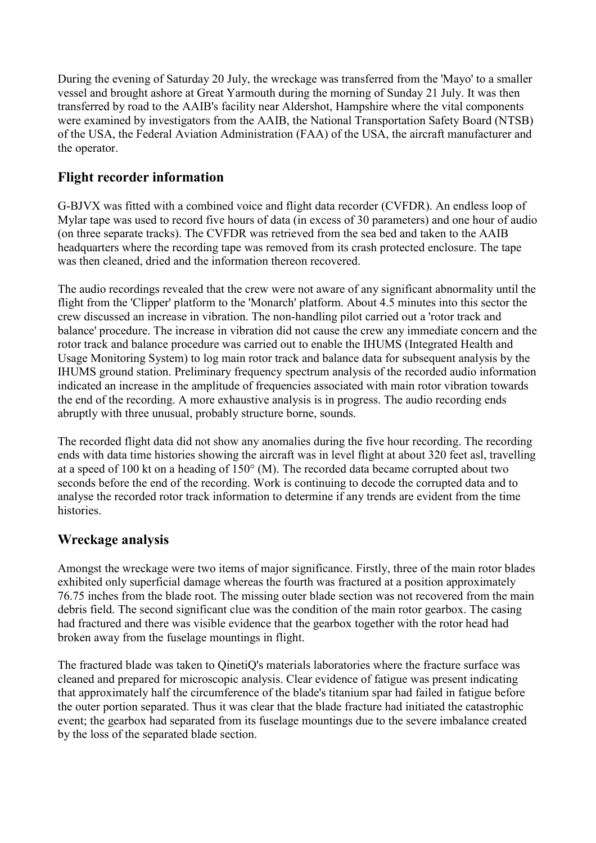During the evening of Saturday 20 July, the wreckage was transferred from the 'Mayo' to a smaller vessel and brought ashore at Great Yarmouth during the morning of Sunday 21 July. It was then transferred by road to the AAIB's facility near Aldershot, Hampshire where the vital components were examined by investigators from the AAIB, the National Transportation Safety Board (NTSB) of the USA, the Federal Aviation Administration (FAA) of the USA, the aircraft manufacturer and the operator.

## **Flight recorder information**

G-BJVX was fitted with a combined voice and flight data recorder (CVFDR). An endless loop of Mylar tape was used to record five hours of data (in excess of 30 parameters) and one hour of audio (on three separate tracks). The CVFDR was retrieved from the sea bed and taken to the AAIB headquarters where the recording tape was removed from its crash protected enclosure. The tape was then cleaned, dried and the information thereon recovered.

The audio recordings revealed that the crew were not aware of any significant abnormality until the flight from the 'Clipper' platform to the 'Monarch' platform. About 4.5 minutes into this sector the crew discussed an increase in vibration. The non-handling pilot carried out a 'rotor track and balance' procedure. The increase in vibration did not cause the crew any immediate concern and the rotor track and balance procedure was carried out to enable the IHUMS (Integrated Health and Usage Monitoring System) to log main rotor track and balance data for subsequent analysis by the IHUMS ground station. Preliminary frequency spectrum analysis of the recorded audio information indicated an increase in the amplitude of frequencies associated with main rotor vibration towards the end of the recording. A more exhaustive analysis is in progress. The audio recording ends abruptly with three unusual, probably structure borne, sounds.

The recorded flight data did not show any anomalies during the five hour recording. The recording ends with data time histories showing the aircraft was in level flight at about 320 feet asl, travelling at a speed of 100 kt on a heading of  $150^{\circ}$  (M). The recorded data became corrupted about two seconds before the end of the recording. Work is continuing to decode the corrupted data and to analyse the recorded rotor track information to determine if any trends are evident from the time histories.

### **Wreckage analysis**

Amongst the wreckage were two items of major significance. Firstly, three of the main rotor blades exhibited only superficial damage whereas the fourth was fractured at a position approximately 76.75 inches from the blade root. The missing outer blade section was not recovered from the main debris field. The second significant clue was the condition of the main rotor gearbox. The casing had fractured and there was visible evidence that the gearbox together with the rotor head had broken away from the fuselage mountings in flight.

The fractured blade was taken to QinetiQ's materials laboratories where the fracture surface was cleaned and prepared for microscopic analysis. Clear evidence of fatigue was present indicating that approximately half the circumference of the blade's titanium spar had failed in fatigue before the outer portion separated. Thus it was clear that the blade fracture had initiated the catastrophic event; the gearbox had separated from its fuselage mountings due to the severe imbalance created by the loss of the separated blade section.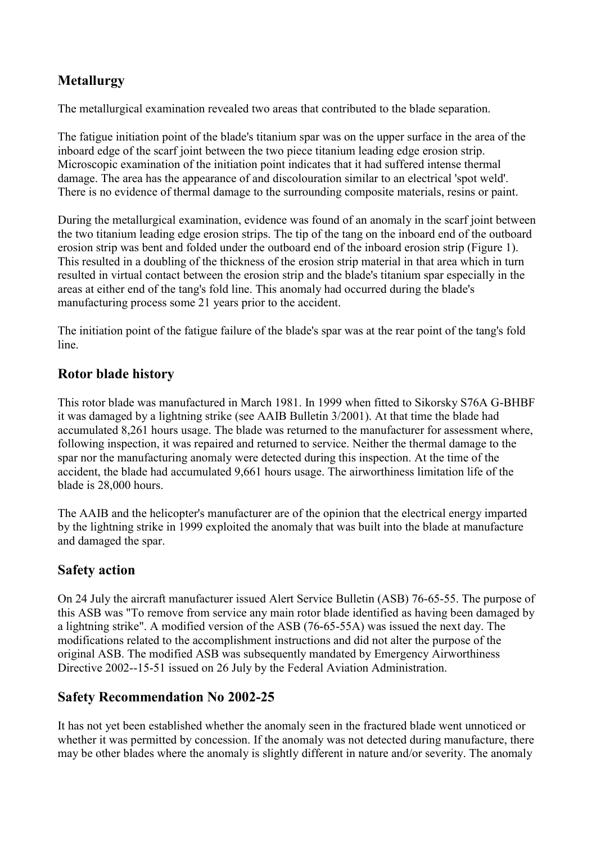## **Metallurgy**

The metallurgical examination revealed two areas that contributed to the blade separation.

The fatigue initiation point of the blade's titanium spar was on the upper surface in the area of the inboard edge of the scarf joint between the two piece titanium leading edge erosion strip. Microscopic examination of the initiation point indicates that it had suffered intense thermal damage. The area has the appearance of and discolouration similar to an electrical 'spot weld'. There is no evidence of thermal damage to the surrounding composite materials, resins or paint.

During the metallurgical examination, evidence was found of an anomaly in the scarf joint between the two titanium leading edge erosion strips. The tip of the tang on the inboard end of the outboard erosion strip was bent and folded under the outboard end of the inboard erosion strip (Figure 1). This resulted in a doubling of the thickness of the erosion strip material in that area which in turn resulted in virtual contact between the erosion strip and the blade's titanium spar especially in the areas at either end of the tang's fold line. This anomaly had occurred during the blade's manufacturing process some 21 years prior to the accident.

The initiation point of the fatigue failure of the blade's spar was at the rear point of the tang's fold line.

## **Rotor blade history**

This rotor blade was manufactured in March 1981. In 1999 when fitted to Sikorsky S76A G-BHBF it was damaged by a lightning strike (see AAIB Bulletin 3/2001). At that time the blade had accumulated 8,261 hours usage. The blade was returned to the manufacturer for assessment where, following inspection, it was repaired and returned to service. Neither the thermal damage to the spar nor the manufacturing anomaly were detected during this inspection. At the time of the accident, the blade had accumulated 9,661 hours usage. The airworthiness limitation life of the blade is 28,000 hours.

The AAIB and the helicopter's manufacturer are of the opinion that the electrical energy imparted by the lightning strike in 1999 exploited the anomaly that was built into the blade at manufacture and damaged the spar.

## **Safety action**

On 24 July the aircraft manufacturer issued Alert Service Bulletin (ASB) 76-65-55. The purpose of this ASB was "To remove from service any main rotor blade identified as having been damaged by a lightning strike". A modified version of the ASB (76-65-55A) was issued the next day. The modifications related to the accomplishment instructions and did not alter the purpose of the original ASB. The modified ASB was subsequently mandated by Emergency Airworthiness Directive 2002--15-51 issued on 26 July by the Federal Aviation Administration.

## **Safety Recommendation No 2002-25**

It has not yet been established whether the anomaly seen in the fractured blade went unnoticed or whether it was permitted by concession. If the anomaly was not detected during manufacture, there may be other blades where the anomaly is slightly different in nature and/or severity. The anomaly